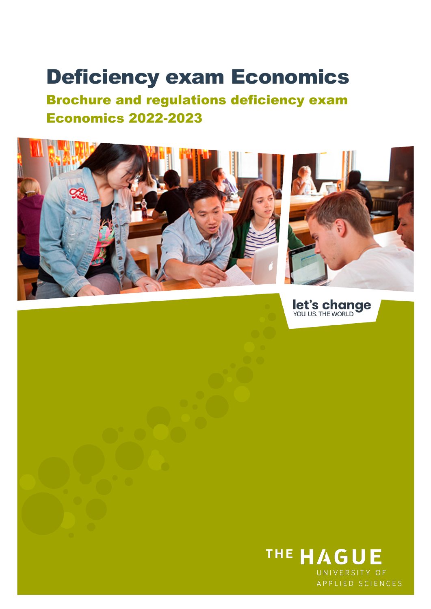# Deficiency exam Economics

Brochure and regulations deficiency exam Economics 2022-2023



let's change

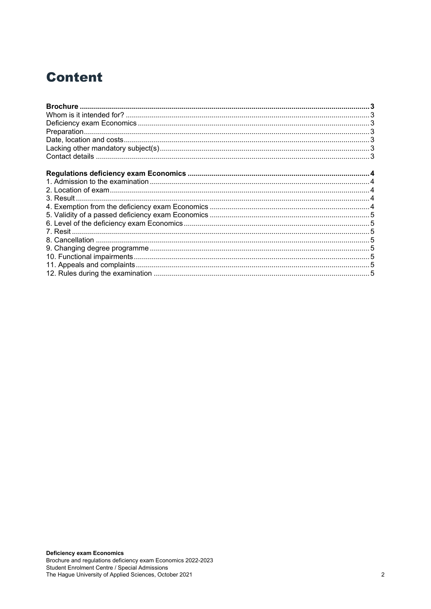# **Content**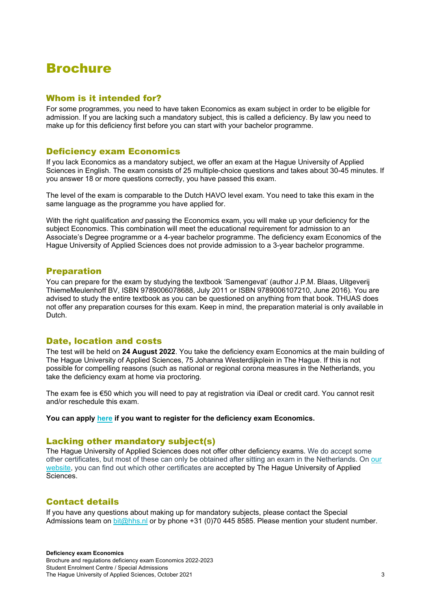# <span id="page-2-0"></span>Brochure

# <span id="page-2-1"></span>Whom is it intended for?

For some programmes, you need to have taken Economics as exam subject in order to be eligible for admission. If you are lacking such a mandatory subject, this is called a deficiency. By law you need to make up for this deficiency first before you can start with your bachelor programme.

# <span id="page-2-2"></span>Deficiency exam Economics

If you lack Economics as a mandatory subject, we offer an exam at the Hague University of Applied Sciences in English. The exam consists of 25 multiple-choice questions and takes about 30-45 minutes. If you answer 18 or more questions correctly, you have passed this exam.

The level of the exam is comparable to the Dutch HAVO level exam. You need to take this exam in the same language as the programme you have applied for.

With the right qualification *and* passing the Economics exam, you will make up your deficiency for the subject Economics. This combination will meet the educational requirement for admission to an Associate's Degree programme or a 4-year bachelor programme. The deficiency exam Economics of the Hague University of Applied Sciences does not provide admission to a 3-year bachelor programme.

# <span id="page-2-3"></span>Preparation

You can prepare for the exam by studying the textbook 'Samengevat' (author J.P.M. Blaas, Uitgeverij ThiemeMeulenhoff BV, ISBN 9789006078688, July 2011 or ISBN 9789006107210, June 2016). You are advised to study the entire textbook as you can be questioned on anything from that book. THUAS does not offer any preparation courses for this exam. Keep in mind, the preparation material is only available in **Dutch** 

# <span id="page-2-4"></span>Date, location and costs

The test will be held on **24 August 2022**. You take the deficiency exam Economics at the main building of The Hague University of Applied Sciences, 75 Johanna Westerdijkplein in The Hague. If this is not possible for compelling reasons (such as national or regional corona measures in the Netherlands, you take the deficiency exam at home via proctoring.

The exam fee is €50 which you will need to pay at registration via iDeal or credit card. You cannot resit and/or reschedule this exam.

**You can apply [here](https://www.formdesk.com/dehaagsehogeschool/deficientie-examen-economie) if you want to register for the deficiency exam Economics.**

# <span id="page-2-5"></span>Lacking other mandatory subject(s)

The Hague University of Applied Sciences does not offer other deficiency exams. We do accept some other certificates, but most of these can only be obtained after sitting an exam in the Netherlands. On [our](https://www.thehagueuniversity.com/study-choice/applications-finances-and-moving-here/applying/entry-requirements?_ga=2.27428284.1029859868.1614325986-1499512523.1614091748)  [website,](https://www.thehagueuniversity.com/study-choice/applications-finances-and-moving-here/applying/entry-requirements?_ga=2.27428284.1029859868.1614325986-1499512523.1614091748) you can find out which other certificates are accepted by The Hague University of Applied Sciences.

# <span id="page-2-6"></span>Contact details

If you have any questions about making up for mandatory subjects, please contact the Special Admissions team on [bit@hhs.nl](mailto:bit@hhs.nl) or by phone +31 (0)70 445 8585. Please mention your student number.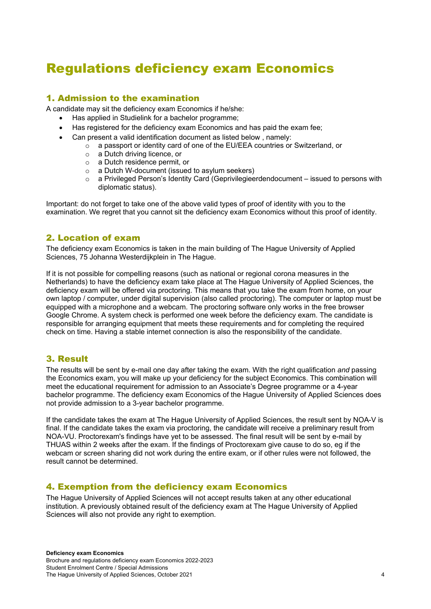# <span id="page-3-0"></span>Regulations deficiency exam Economics

# <span id="page-3-1"></span>1. Admission to the examination

A candidate may sit the deficiency exam Economics if he/she:

- Has applied in Studielink for a bachelor programme;
- Has registered for the deficiency exam Economics and has paid the exam fee;
- Can present a valid identification document as listed below , namely:
	- o a passport or identity card of one of the EU/EEA countries or Switzerland, or
		- o a Dutch driving licence, or
		- o a Dutch residence permit, or
		- o a Dutch W-document (issued to asylum seekers)
		- o a Privileged Person's Identity Card (Geprivilegieerdendocument issued to persons with diplomatic status).

Important: do not forget to take one of the above valid types of proof of identity with you to the examination. We regret that you cannot sit the deficiency exam Economics without this proof of identity.

# <span id="page-3-2"></span>2. Location of exam

The deficiency exam Economics is taken in the main building of The Hague University of Applied Sciences, 75 Johanna Westerdijkplein in The Hague.

If it is not possible for compelling reasons (such as national or regional corona measures in the Netherlands) to have the deficiency exam take place at The Hague University of Applied Sciences, the deficiency exam will be offered via proctoring. This means that you take the exam from home, on your own laptop / computer, under digital supervision (also called proctoring). The computer or laptop must be equipped with a microphone and a webcam. The proctoring software only works in the free browser Google Chrome. A system check is performed one week before the deficiency exam. The candidate is responsible for arranging equipment that meets these requirements and for completing the required check on time. Having a stable internet connection is also the responsibility of the candidate.

# <span id="page-3-3"></span>3. Result

The results will be sent by e-mail one day after taking the exam. With the right qualification *and* passing the Economics exam, you will make up your deficiency for the subject Economics. This combination will meet the educational requirement for admission to an Associate's Degree programme or a 4-year bachelor programme. The deficiency exam Economics of the Hague University of Applied Sciences does not provide admission to a 3-year bachelor programme.

If the candidate takes the exam at The Hague University of Applied Sciences, the result sent by NOA-V is final. If the candidate takes the exam via proctoring, the candidate will receive a preliminary result from NOA-VU. Proctorexam's findings have yet to be assessed. The final result will be sent by e-mail by THUAS within 2 weeks after the exam. If the findings of Proctorexam give cause to do so, eg if the webcam or screen sharing did not work during the entire exam, or if other rules were not followed, the result cannot be determined.

# <span id="page-3-4"></span>4. Exemption from the deficiency exam Economics

The Hague University of Applied Sciences will not accept results taken at any other educational institution. A previously obtained result of the deficiency exam at The Hague University of Applied Sciences will also not provide any right to exemption.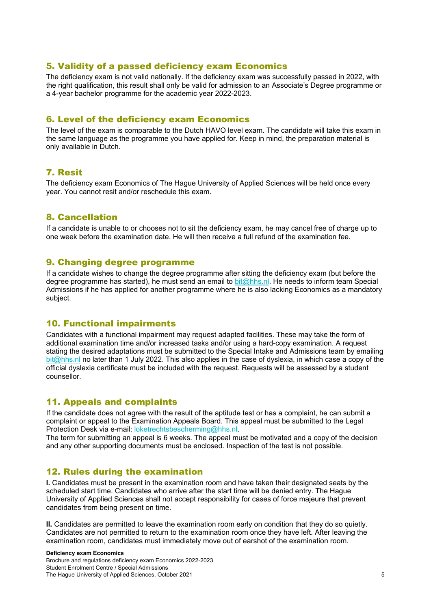#### <span id="page-4-0"></span>5. Validity of a passed deficiency exam Economics

The deficiency exam is not valid nationally. If the deficiency exam was successfully passed in 2022, with the right qualification, this result shall only be valid for admission to an Associate's Degree programme or a 4-year bachelor programme for the academic year 2022-2023.

# <span id="page-4-1"></span>6. Level of the deficiency exam Economics

The level of the exam is comparable to the Dutch HAVO level exam. The candidate will take this exam in the same language as the programme you have applied for. Keep in mind, the preparation material is only available in Dutch.

# <span id="page-4-2"></span>7. Resit

The deficiency exam Economics of The Hague University of Applied Sciences will be held once every year. You cannot resit and/or reschedule this exam.

#### <span id="page-4-3"></span>8. Cancellation

If a candidate is unable to or chooses not to sit the deficiency exam, he may cancel free of charge up to one week before the examination date. He will then receive a full refund of the examination fee.

#### <span id="page-4-4"></span>9. Changing degree programme

If a candidate wishes to change the degree programme after sitting the deficiency exam (but before the degree programme has started), he must send an email to **bit@hhs.nl.** He needs to inform team Special Admissions if he has applied for another programme where he is also lacking Economics as a mandatory subject.

# <span id="page-4-5"></span>10. Functional impairments

Candidates with a functional impairment may request adapted facilities. These may take the form of additional examination time and/or increased tasks and/or using a hard-copy examination. A request stating the desired adaptations must be submitted to the Special Intake and Admissions team by emailing [bit@hhs.nl](mailto:bit@hhs.nl) no later than 1 July 2022. This also applies in the case of dyslexia, in which case a copy of the official dyslexia certificate must be included with the request. Requests will be assessed by a student counsellor.

# <span id="page-4-6"></span>11. Appeals and complaints

If the candidate does not agree with the result of the aptitude test or has a complaint, he can submit a complaint or appeal to the Examination Appeals Board. This appeal must be submitted to the Legal Protection Desk via e-mail: [loketrechtsbescherming@hhs.nl.](mailto:loketrechtsbescherming@hhs.nl)

The term for submitting an appeal is 6 weeks. The appeal must be motivated and a copy of the decision and any other supporting documents must be enclosed. Inspection of the test is not possible.

# <span id="page-4-7"></span>12. Rules during the examination

**I.** Candidates must be present in the examination room and have taken their designated seats by the scheduled start time. Candidates who arrive after the start time will be denied entry. The Hague University of Applied Sciences shall not accept responsibility for cases of force majeure that prevent candidates from being present on time.

**II.** Candidates are permitted to leave the examination room early on condition that they do so quietly. Candidates are not permitted to return to the examination room once they have left. After leaving the examination room, candidates must immediately move out of earshot of the examination room.

#### **Deficiency exam Economics**

Brochure and regulations deficiency exam Economics 2022-2023 Student Enrolment Centre / Special Admissions The Hague University of Applied Sciences, October 2021 5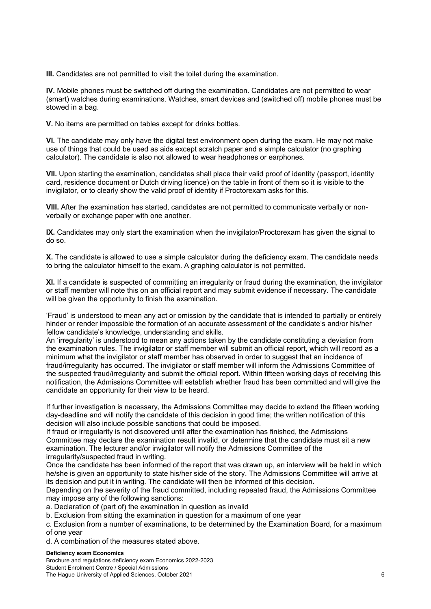**III.** Candidates are not permitted to visit the toilet during the examination.

**IV.** Mobile phones must be switched off during the examination. Candidates are not permitted to wear (smart) watches during examinations. Watches, smart devices and (switched off) mobile phones must be stowed in a bag.

**V.** No items are permitted on tables except for drinks bottles.

**VI.** The candidate may only have the digital test environment open during the exam. He may not make use of things that could be used as aids except scratch paper and a simple calculator (no graphing calculator). The candidate is also not allowed to wear headphones or earphones.

**VII.** Upon starting the examination, candidates shall place their valid proof of identity (passport, identity card, residence document or Dutch driving licence) on the table in front of them so it is visible to the invigilator, or to clearly show the valid proof of identity if Proctorexam asks for this.

**VIII.** After the examination has started, candidates are not permitted to communicate verbally or nonverbally or exchange paper with one another.

**IX.** Candidates may only start the examination when the invigilator/Proctorexam has given the signal to do so.

**X.** The candidate is allowed to use a simple calculator during the deficiency exam. The candidate needs to bring the calculator himself to the exam. A graphing calculator is not permitted.

**XI.** If a candidate is suspected of committing an irregularity or fraud during the examination, the invigilator or staff member will note this on an official report and may submit evidence if necessary. The candidate will be given the opportunity to finish the examination.

'Fraud' is understood to mean any act or omission by the candidate that is intended to partially or entirely hinder or render impossible the formation of an accurate assessment of the candidate's and/or his/her fellow candidate's knowledge, understanding and skills.

An 'irregularity' is understood to mean any actions taken by the candidate constituting a deviation from the examination rules. The invigilator or staff member will submit an official report, which will record as a minimum what the invigilator or staff member has observed in order to suggest that an incidence of fraud/irregularity has occurred. The invigilator or staff member will inform the Admissions Committee of the suspected fraud/irregularity and submit the official report. Within fifteen working days of receiving this notification, the Admissions Committee will establish whether fraud has been committed and will give the candidate an opportunity for their view to be heard.

If further investigation is necessary, the Admissions Committee may decide to extend the fifteen working day-deadline and will notify the candidate of this decision in good time; the written notification of this decision will also include possible sanctions that could be imposed.

If fraud or irregularity is not discovered until after the examination has finished, the Admissions Committee may declare the examination result invalid, or determine that the candidate must sit a new examination. The lecturer and/or invigilator will notify the Admissions Committee of the irregularity/suspected fraud in writing.

Once the candidate has been informed of the report that was drawn up, an interview will be held in which he/she is given an opportunity to state his/her side of the story. The Admissions Committee will arrive at its decision and put it in writing. The candidate will then be informed of this decision.

Depending on the severity of the fraud committed, including repeated fraud, the Admissions Committee may impose any of the following sanctions:

a. Declaration of (part of) the examination in question as invalid

b. Exclusion from sitting the examination in question for a maximum of one year

c. Exclusion from a number of examinations, to be determined by the Examination Board, for a maximum of one year

d. A combination of the measures stated above.

#### **Deficiency exam Economics**

Brochure and regulations deficiency exam Economics 2022-2023 Student Enrolment Centre / Special Admissions The Hague University of Applied Sciences, October 2021 6